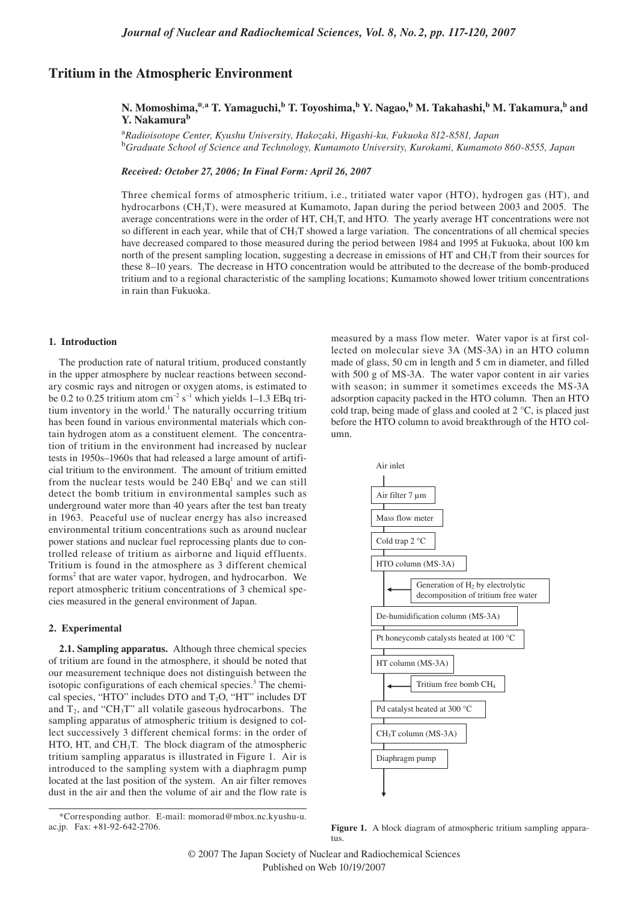# **Tritium in the Atmospheric Environment**

## N. Momoshima,\*<sup>,a</sup> T. Yamaguchi,<sup>b</sup> T. Toyoshima,<sup>b</sup> Y. Nagao,<sup>b</sup> M. Takahashi,<sup>b</sup> M. Takamura,<sup>b</sup> and **Y. Nakamurab**

<sup>a</sup>*Radioisotope Center, Kyushu University, Hakozaki, Higashi-ku, Fukuoka 812-8581, Japan* <sup>b</sup>*Graduate School of Science and Technology, Kumamoto University, Kurokami, Kumamoto 860-8555, Japan*

*Received: October 27, 2006; In Final Form: April 26, 2007*

Three chemical forms of atmospheric tritium, i.e., tritiated water vapor (HTO), hydrogen gas (HT), and hydrocarbons  $(CH_3T)$ , were measured at Kumamoto, Japan during the period between 2003 and 2005. The average concentrations were in the order of HT, CH<sub>3</sub>T, and HTO. The yearly average HT concentrations were not so different in each year, while that of CH<sub>3</sub>T showed a large variation. The concentrations of all chemical species have decreased compared to those measured during the period between 1984 and 1995 at Fukuoka, about 100 km north of the present sampling location, suggesting a decrease in emissions of HT and  $CH<sub>3</sub>$ T from their sources for these 8–10 years. The decrease in HTO concentration would be attributed to the decrease of the bomb-produced tritium and to a regional characteristic of the sampling locations; Kumamoto showed lower tritium concentrations in rain than Fukuoka.

#### **1. Introduction**

The production rate of natural tritium, produced constantly in the upper atmosphere by nuclear reactions between secondary cosmic rays and nitrogen or oxygen atoms, is estimated to be 0.2 to 0.25 tritium atom  $cm^{-2} s^{-1}$  which yields 1–1.3 EBq tritium inventory in the world.<sup>1</sup> The naturally occurring tritium has been found in various environmental materials which contain hydrogen atom as a constituent element. The concentration of tritium in the environment had increased by nuclear tests in 1950s–1960s that had released a large amount of artificial tritium to the environment. The amount of tritium emitted from the nuclear tests would be  $240$   $EBq<sup>1</sup>$  and we can still detect the bomb tritium in environmental samples such as underground water more than 40 years after the test ban treaty in 1963. Peaceful use of nuclear energy has also increased environmental tritium concentrations such as around nuclear power stations and nuclear fuel reprocessing plants due to controlled release of tritium as airborne and liquid effluents. Tritium is found in the atmosphere as 3 different chemical forms<sup>2</sup> that are water vapor, hydrogen, and hydrocarbon. We report atmospheric tritium concentrations of 3 chemical species measured in the general environment of Japan.

## **2. Experimental**

**2.1. Sampling apparatus.** Although three chemical species of tritium are found in the atmosphere, it should be noted that our measurement technique does not distinguish between the isotopic configurations of each chemical species.<sup>3</sup> The chemical species, "HTO" includes DTO and  $T_2O$ , "HT" includes DT and  $T_2$ , and "CH<sub>3</sub>T" all volatile gaseous hydrocarbons. The sampling apparatus of atmospheric tritium is designed to collect successively 3 different chemical forms: in the order of HTO, HT, and CH<sub>3</sub>T. The block diagram of the atmospheric tritium sampling apparatus is illustrated in Figure 1. Air is introduced to the sampling system with a diaphragm pump located at the last position of the system. An air filter removes dust in the air and then the volume of air and the flow rate is

measured by a mass flow meter. Water vapor is at first collected on molecular sieve 3A (MS-3A) in an HTO column made of glass, 50 cm in length and 5 cm in diameter, and filled with 500 g of MS-3A. The water vapor content in air varies with season; in summer it sometimes exceeds the MS-3A adsorption capacity packed in the HTO column. Then an HTO cold trap, being made of glass and cooled at 2 °C, is placed just before the HTO column to avoid breakthrough of the HTO column.



**Figure 1.** A block diagram of atmospheric tritium sampling apparatus.

<sup>\*</sup>Corresponding author. E-mail: momorad@mbox.nc.kyushu-u. ac.jp. Fax: +81-92-642-2706.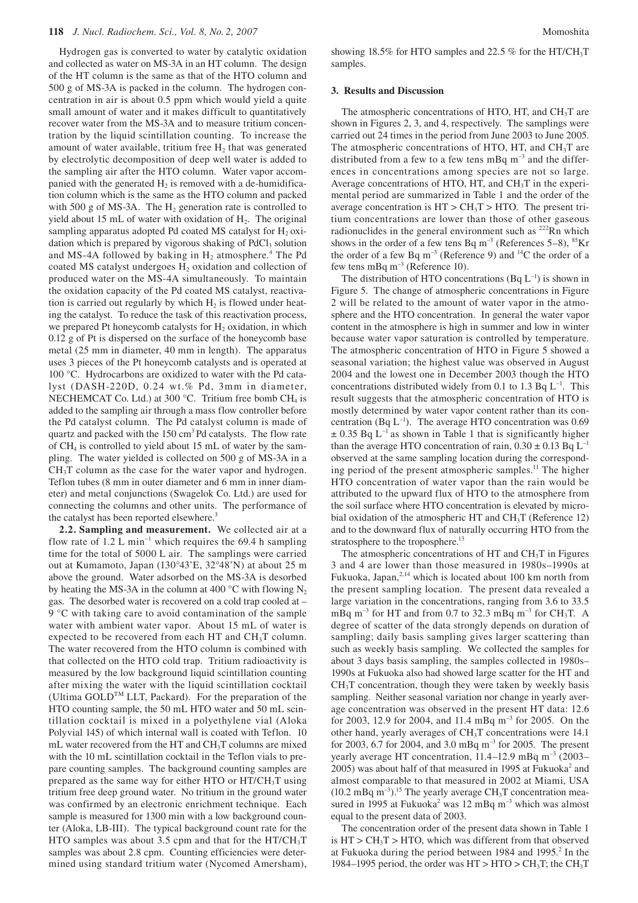Hydrogen gas is converted to water by catalytic oxidation and collected as water on MS-3A in an HT column. The design of the HT column is the same as that of the HTO column and 500 g of MS-3A is packed in the column. The hydrogen concentration in air is about 0.5 ppm which would yield a quite small amount of water and it makes difficult to quantitatively recover water from the MS-3A and to measure tritium concentration by the liquid scintillation counting. To increase the amount of water available, tritium free  $H_2$  that was generated by electrolytic decomposition of deep well water is added to the sampling air after the HTO column. Water vapor accompanied with the generated  $H<sub>2</sub>$  is removed with a de-humidification column which is the same as the HTO column and packed with 500 g of MS-3A. The  $H_2$  generation rate is controlled to yield about 15 mL of water with oxidation of  $H<sub>2</sub>$ . The original sampling apparatus adopted Pd coated MS catalyst for  $H<sub>2</sub>$  oxidation which is prepared by vigorous shaking of  $PdCl<sub>3</sub>$  solution and MS-4A followed by baking in  $H_2$  atmosphere.<sup>4</sup> The Pd coated MS catalyst undergoes  $H<sub>2</sub>$  oxidation and collection of produced water on the MS-4A simultaneously. To maintain the oxidation capacity of the Pd coated MS catalyst, reactivation is carried out regularly by which  $H_2$  is flowed under heating the catalyst. To reduce the task of this reactivation process, we prepared Pt honeycomb catalysts for  $H<sub>2</sub>$  oxidation, in which 0.12 g of Pt is dispersed on the surface of the honeycomb base metal (25 mm in diameter, 40 mm in length). The apparatus uses 3 pieces of the Pt honeycomb catalysts and is operated at 100 °C. Hydrocarbons are oxidized to water with the Pd catalyst (DASH-220D, 0.24 wt.% Pd, 3mm in diameter, NECHEMCAT Co. Ltd.) at 300 °C. Tritium free bomb CH<sub>4</sub> is added to the sampling air through a mass flow controller before the Pd catalyst column. The Pd catalyst column is made of quartz and packed with the 150 cm<sup>3</sup> Pd catalysts. The flow rate of CH4 is controlled to yield about 15 mL of water by the sampling. The water yielded is collected on 500 g of MS-3A in a  $CH<sub>3</sub>T$  column as the case for the water vapor and hydrogen. Teflon tubes (8 mm in outer diameter and 6 mm in inner diameter) and metal conjunctions (Swagelok Co. Ltd.) are used for connecting the columns and other units. The performance of the catalyst has been reported elsewhere.<sup>3</sup>

**2.2. Sampling and measurement.** We collected air at a flow rate of  $1.2$  L min<sup>-1</sup> which requires the 69.4 h sampling time for the total of 5000 L air. The samplings were carried out at Kumamoto, Japan (130°43'E, 32°48'N) at about 25 m above the ground. Water adsorbed on the MS-3A is desorbed by heating the MS-3A in the column at 400 °C with flowing  $N_2$ gas. The desorbed water is recovered on a cold trap cooled at – 9 °C with taking care to avoid contamination of the sample water with ambient water vapor. About 15 mL of water is expected to be recovered from each HT and  $CH<sub>3</sub>T$  column. The water recovered from the HTO column is combined with that collected on the HTO cold trap. Tritium radioactivity is measured by the low background liquid scintillation counting after mixing the water with the liquid scintillation cocktail (Ultima GOLD<sup>TM</sup> LLT, Packard). For the preparation of the HTO counting sample, the 50 mL HTO water and 50 mL scintillation cocktail is mixed in a polyethylene vial (Aloka Polyvial 145) of which internal wall is coated with Teflon. 10 mL water recovered from the HT and CH<sub>3</sub>T columns are mixed with the 10 mL scintillation cocktail in the Teflon vials to prepare counting samples. The background counting samples are prepared as the same way for either HTO or  $HT/CH_3T$  using tritium free deep ground water. No tritium in the ground water was confirmed by an electronic enrichment technique. Each sample is measured for 1300 min with a low background counter (Aloka, LB-III). The typical background count rate for the HTO samples was about 3.5 cpm and that for the HT/CH<sub>3</sub>T samples was about 2.8 cpm. Counting efficiencies were determined using standard tritium water (Nycomed Amersham),

showing 18.5% for HTO samples and 22.5 % for the HT/CH3T samples.

### **3. Results and Discussion**

The atmospheric concentrations of HTO, HT, and  $CH<sub>3</sub>T$  are shown in Figures 2, 3, and 4, respectively. The samplings were carried out 24 times in the period from June 2003 to June 2005. The atmospheric concentrations of HTO, HT, and  $CH<sub>3</sub>T$  are distributed from a few to a few tens mBq  $m^{-3}$  and the differences in concentrations among species are not so large. Average concentrations of HTO, HT, and  $CH<sub>3</sub>T$  in the experimental period are summarized in Table 1 and the order of the average concentration is  $HT > CH_3T > HTO$ . The present tritium concentrations are lower than those of other gaseous radionuclides in the general environment such as <sup>222</sup>Rn which shows in the order of a few tens Bq  $m^{-3}$  (References 5–8),  ${}^{85}Kr$ the order of a few Bq  $m^{-3}$  (Reference 9) and <sup>14</sup>C the order of a few tens mBq  $m^{-3}$  (Reference 10).

The distribution of HTO concentrations (Bq  $L^{-1}$ ) is shown in Figure 5. The change of atmospheric concentrations in Figure 2 will be related to the amount of water vapor in the atmosphere and the HTO concentration. In general the water vapor content in the atmosphere is high in summer and low in winter because water vapor saturation is controlled by temperature. The atmospheric concentration of HTO in Figure 5 showed a seasonal variation; the highest value was observed in August 2004 and the lowest one in December 2003 though the HTO concentrations distributed widely from 0.1 to 1.3 Bq  $L^{-1}$ . This result suggests that the atmospheric concentration of HTO is mostly determined by water vapor content rather than its concentration (Bq  $L^{-1}$ ). The average HTO concentration was 0.69  $\pm$  0.35 Bq L<sup>-1</sup> as shown in Table 1 that is significantly higher than the average HTO concentration of rain,  $0.30 \pm 0.13$  Bq L<sup>-1</sup> observed at the same sampling location during the corresponding period of the present atmospheric samples.<sup>11</sup> The higher HTO concentration of water vapor than the rain would be attributed to the upward flux of HTO to the atmosphere from the soil surface where HTO concentration is elevated by microbial oxidation of the atmospheric HT and  $CH<sub>3</sub>T$  (Reference 12) and to the downward flux of naturally occurring HTO from the stratosphere to the troposphere.<sup>13</sup>

The atmospheric concentrations of  $HT$  and  $CH<sub>3</sub>T$  in Figures 3 and 4 are lower than those measured in 1980s–1990s at Fukuoka, Japan, $^{2,14}$  which is located about 100 km north from the present sampling location. The present data revealed a large variation in the concentrations, ranging from 3.6 to 33.5 mBq  $m^{-3}$  for HT and from 0.7 to 32.3 mBq  $m^{-3}$  for CH<sub>3</sub>T. A degree of scatter of the data strongly depends on duration of sampling; daily basis sampling gives larger scattering than such as weekly basis sampling. We collected the samples for about 3 days basis sampling, the samples collected in 1980s– 1990s at Fukuoka also had showed large scatter for the HT and  $CH<sub>3</sub>T$  concentration, though they were taken by weekly basis sampling. Neither seasonal variation nor change in yearly average concentration was observed in the present HT data: 12.6 for 2003, 12.9 for 2004, and 11.4 mBq m–3 for 2005. On the other hand, yearly averages of CH3T concentrations were 14.1 for 2003, 6.7 for 2004, and 3.0 mBq m–3 for 2005. The present yearly average HT concentration, 11.4–12.9 mBq m<sup>-3</sup> (2003–  $2005$ ) was about half of that measured in 1995 at Fukuoka<sup>2</sup> and almost comparable to that measured in 2002 at Miami, USA  $(10.2 \text{ mBq m}^{-3})$ .<sup>15</sup> The yearly average CH<sub>3</sub>T concentration measured in 1995 at Fukuoka<sup>2</sup> was 12 mBq  $m^{-3}$  which was almost equal to the present data of 2003.

The concentration order of the present data shown in Table 1 is  $HT > CH<sub>3</sub>T > HTO$ , which was different from that observed at Fukuoka during the period between  $1984$  and  $1995$ .<sup>2</sup> In the 1984–1995 period, the order was  $HT > HTO > CH<sub>3</sub>T$ ; the  $CH<sub>3</sub>T$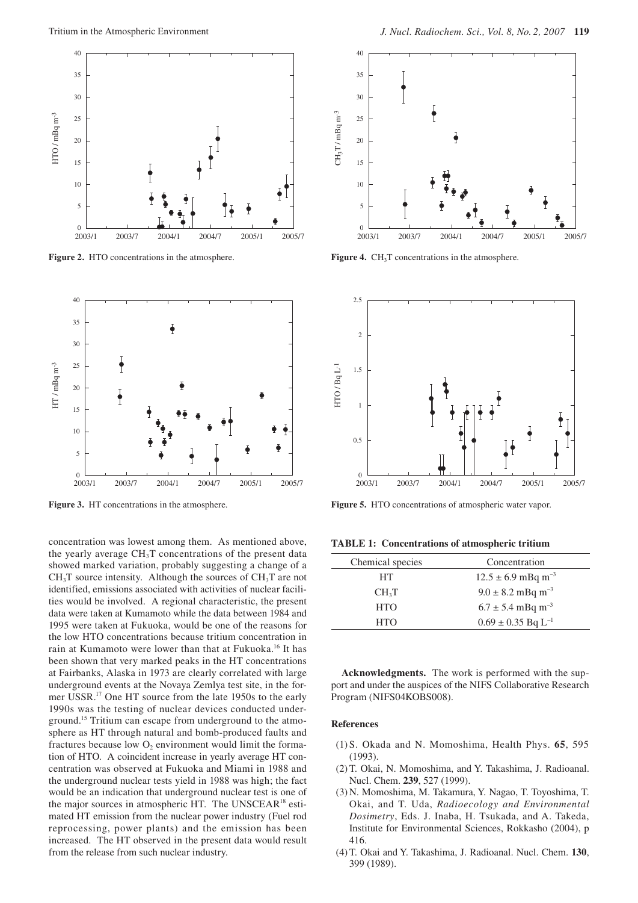

**Figure 2.** HTO concentrations in the atmosphere.



**Figure 3.** HT concentrations in the atmosphere.

concentration was lowest among them. As mentioned above, the yearly average  $CH<sub>3</sub>T$  concentrations of the present data showed marked variation, probably suggesting a change of a  $CH<sub>3</sub>T$  source intensity. Although the sources of  $CH<sub>3</sub>T$  are not identified, emissions associated with activities of nuclear facilities would be involved. A regional characteristic, the present data were taken at Kumamoto while the data between 1984 and 1995 were taken at Fukuoka, would be one of the reasons for the low HTO concentrations because tritium concentration in rain at Kumamoto were lower than that at Fukuoka.<sup>16</sup> It has been shown that very marked peaks in the HT concentrations at Fairbanks, Alaska in 1973 are clearly correlated with large underground events at the Novaya Zemlya test site, in the former USSR.17 One HT source from the late 1950s to the early 1990s was the testing of nuclear devices conducted underground.15 Tritium can escape from underground to the atmosphere as HT through natural and bomb-produced faults and fractures because low  $O_2$  environment would limit the formation of HTO. A coincident increase in yearly average HT concentration was observed at Fukuoka and Miami in 1988 and the underground nuclear tests yield in 1988 was high; the fact would be an indication that underground nuclear test is one of the major sources in atmospheric HT. The UNSCEAR<sup>18</sup> estimated HT emission from the nuclear power industry (Fuel rod reprocessing, power plants) and the emission has been increased. The HT observed in the present data would result from the release from such nuclear industry.



**Figure 4.** CH<sub>3</sub>T concentrations in the atmosphere.



**Figure 5.** HTO concentrations of atmospheric water vapor.

**TABLE 1: Concentrations of atmospheric tritium**

| Chemical species  | Concentration                      |
|-------------------|------------------------------------|
| <b>HT</b>         | $12.5 \pm 6.9$ mBq m <sup>-3</sup> |
| CH <sub>3</sub> T | $9.0 \pm 8.2$ mBq m <sup>-3</sup>  |
| <b>HTO</b>        | $6.7 \pm 5.4$ mBq m <sup>-3</sup>  |
| <b>HTO</b>        | $0.69 \pm 0.35$ Bq L <sup>-1</sup> |

**Acknowledgments.** The work is performed with the support and under the auspices of the NIFS Collaborative Research Program (NIFS04KOBS008).

#### **References**

- (1) S. Okada and N. Momoshima, Health Phys. **65**, 595 (1993).
- (2) T. Okai, N. Momoshima, and Y. Takashima, J. Radioanal. Nucl. Chem. **239**, 527 (1999).
- (3) N. Momoshima, M. Takamura, Y. Nagao, T. Toyoshima, T. Okai, and T. Uda, *Radioecology and Environmental Dosimetry*, Eds. J. Inaba, H. Tsukada, and A. Takeda, Institute for Environmental Sciences, Rokkasho (2004), p 416.
- (4) T. Okai and Y. Takashima, J. Radioanal. Nucl. Chem. **130**, 399 (1989).